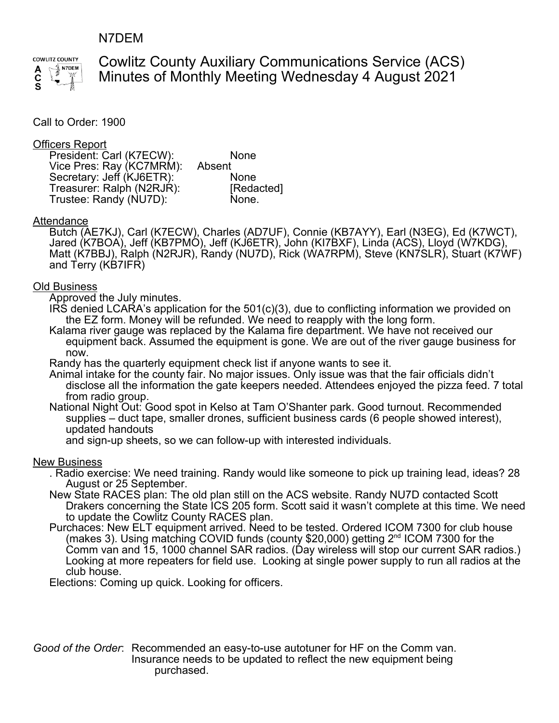## N7DEM



Cowlitz County Auxiliary Communications Service (ACS) Minutes of Monthly Meeting Wednesday 4 August 2021

Call to Order: 1900

### Officers Report

| President: Carl (K7ECW):  | <b>None</b> |
|---------------------------|-------------|
| Vice Pres: Ray (KC7MRM):  | Absent      |
| Secretary: Jeff (KJ6ETR): | <b>None</b> |
| Treasurer: Ralph (N2RJR): | [Redacted]  |
| Trustee: Randy (NU7D):    | None.       |

#### **Attendance**

Butch (AE7KJ), Carl (K7ECW), Charles (AD7UF), Connie (KB7AYY), Earl (N3EG), Ed (K7WCT), Jared (K7BOA), Jeff (KB7PMO), Jeff (KJ6ETR), John (KI7BXF), Linda (ACS), Lloyd (W7KDG), Matt (K7BBJ), Ralph (N2RJR), Randy (NU7D), Rick (WA7RPM), Steve (KN7SLR), Stuart (K7WF) and Terry (KB7IFR)

#### Old Business

Approved the July minutes.

IRS denied LCARA's application for the  $501<sub>(c)</sub>(3)$ , due to conflicting information we provided on the EZ form. Money will be refunded. We need to reapply with the long form.

Kalama river gauge was replaced by the Kalama fire department. We have not received our equipment back. Assumed the equipment is gone. We are out of the river gauge business for now.

Randy has the quarterly equipment check list if anyone wants to see it.

Animal intake for the county fair. No major issues. Only issue was that the fair officials didn't disclose all the information the gate keepers needed. Attendees enjoyed the pizza feed. 7 total from radio group.

National Night Out: Good spot in Kelso at Tam O'Shanter park. Good turnout. Recommended supplies – duct tape, smaller drones, sufficient business cards (6 people showed interest), updated handouts

and sign-up sheets, so we can follow-up with interested individuals.

#### New Business

. Radio exercise: We need training. Randy would like someone to pick up training lead, ideas? 28 August or 25 September.

- New State RACES plan: The old plan still on the ACS website. Randy NU7D contacted Scott Drakers concerning the State ICS 205 form. Scott said it wasn't complete at this time. We need to update the Cowlitz County RACES plan.
- Purchaces: New ELT equipment arrived. Need to be tested. Ordered ICOM 7300 for club house (makes 3). Using matching COVID funds (county \$20,000) getting  $2<sup>nd</sup>$  ICOM 7300 for the Comm van and 15, 1000 channel SAR radios. (Day wireless will stop our current SAR radios.) Looking at more repeaters for field use. Looking at single power supply to run all radios at the club house.

Elections: Coming up quick. Looking for officers.

*Good of the Order*: Recommended an easy-to-use autotuner for HF on the Comm van. Insurance needs to be updated to reflect the new equipment being purchased.